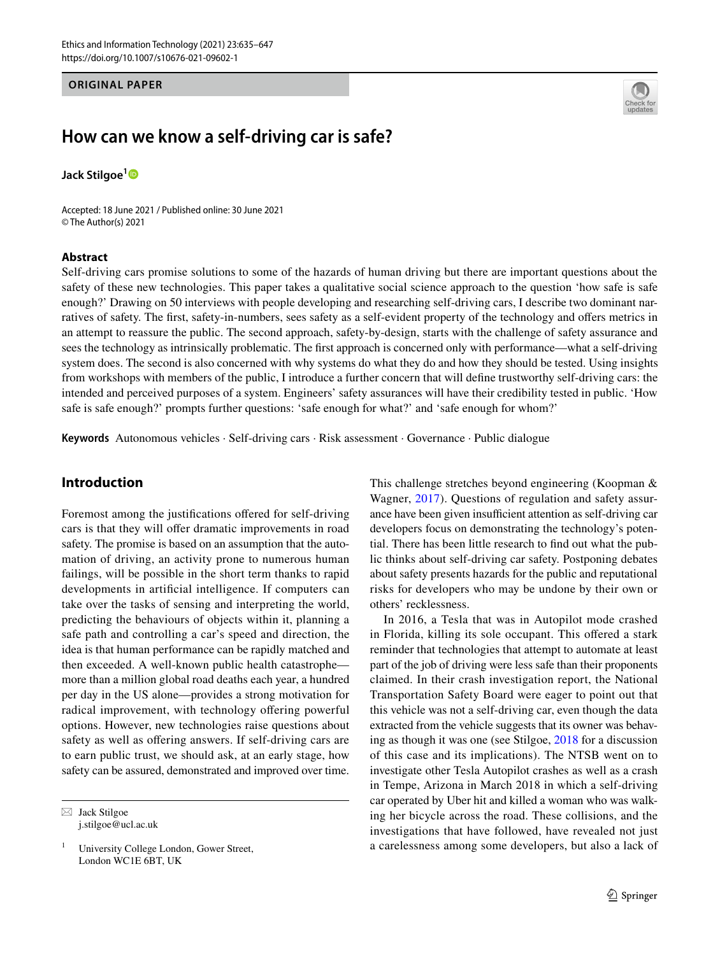## **ORIGINAL PAPER**



# **How can we know a self‑driving car is safe?**

**Jack Stilgoe[1](http://orcid.org/0000-0002-5787-2198)**

Accepted: 18 June 2021 / Published online: 30 June 2021 © The Author(s) 2021

### **Abstract**

Self-driving cars promise solutions to some of the hazards of human driving but there are important questions about the safety of these new technologies. This paper takes a qualitative social science approach to the question 'how safe is safe enough?' Drawing on 50 interviews with people developing and researching self-driving cars, I describe two dominant narratives of safety. The frst, safety-in-numbers, sees safety as a self-evident property of the technology and ofers metrics in an attempt to reassure the public. The second approach, safety-by-design, starts with the challenge of safety assurance and sees the technology as intrinsically problematic. The frst approach is concerned only with performance—what a self-driving system does. The second is also concerned with why systems do what they do and how they should be tested. Using insights from workshops with members of the public, I introduce a further concern that will defne trustworthy self-driving cars: the intended and perceived purposes of a system. Engineers' safety assurances will have their credibility tested in public. 'How safe is safe enough?' prompts further questions: 'safe enough for what?' and 'safe enough for whom?'

**Keywords** Autonomous vehicles · Self-driving cars · Risk assessment · Governance · Public dialogue

# **Introduction**

Foremost among the justifcations ofered for self-driving cars is that they will offer dramatic improvements in road safety. The promise is based on an assumption that the automation of driving, an activity prone to numerous human failings, will be possible in the short term thanks to rapid developments in artifcial intelligence. If computers can take over the tasks of sensing and interpreting the world, predicting the behaviours of objects within it, planning a safe path and controlling a car's speed and direction, the idea is that human performance can be rapidly matched and then exceeded. A well-known public health catastrophe more than a million global road deaths each year, a hundred per day in the US alone—provides a strong motivation for radical improvement, with technology offering powerful options. However, new technologies raise questions about safety as well as offering answers. If self-driving cars are to earn public trust, we should ask, at an early stage, how safety can be assured, demonstrated and improved over time.

 $\boxtimes$  Jack Stilgoe j.stilgoe@ucl.ac.uk This challenge stretches beyond engineering (Koopman & Wagner, [2017](#page-11-0)). Questions of regulation and safety assurance have been given insufficient attention as self-driving car developers focus on demonstrating the technology's potential. There has been little research to fnd out what the public thinks about self-driving car safety. Postponing debates about safety presents hazards for the public and reputational risks for developers who may be undone by their own or others' recklessness.

In 2016, a Tesla that was in Autopilot mode crashed in Florida, killing its sole occupant. This ofered a stark reminder that technologies that attempt to automate at least part of the job of driving were less safe than their proponents claimed. In their crash investigation report, the National Transportation Safety Board were eager to point out that this vehicle was not a self-driving car, even though the data extracted from the vehicle suggests that its owner was behaving as though it was one (see Stilgoe, [2018](#page-12-0) for a discussion of this case and its implications). The NTSB went on to investigate other Tesla Autopilot crashes as well as a crash in Tempe, Arizona in March 2018 in which a self-driving car operated by Uber hit and killed a woman who was walking her bicycle across the road. These collisions, and the investigations that have followed, have revealed not just a carelessness among some developers, but also a lack of

<sup>&</sup>lt;sup>1</sup> University College London, Gower Street, London WC1E 6BT, UK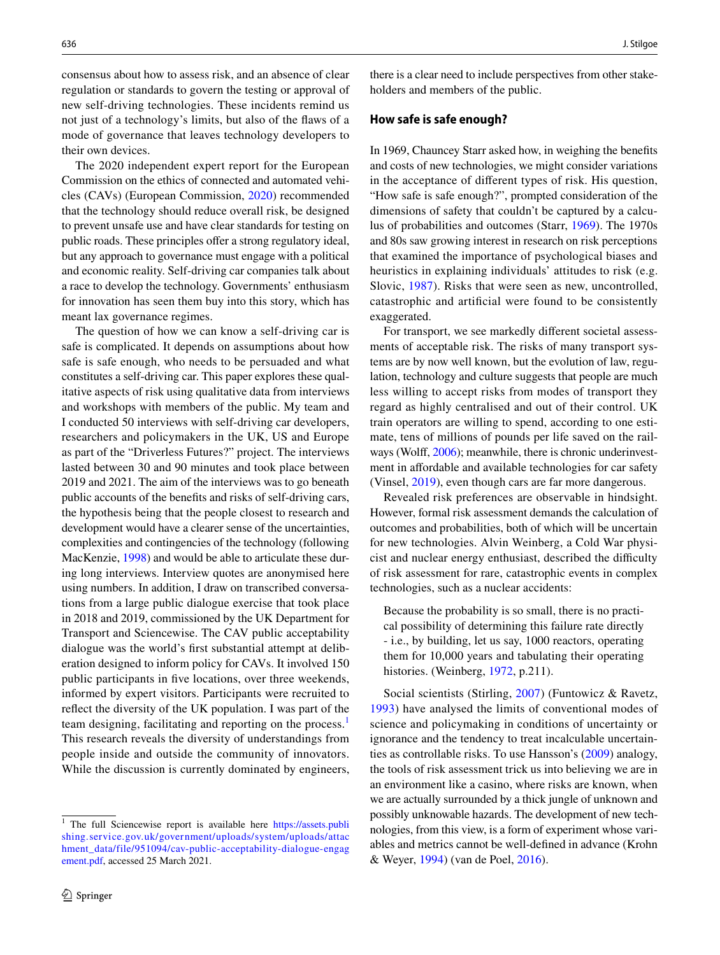consensus about how to assess risk, and an absence of clear regulation or standards to govern the testing or approval of new self-driving technologies. These incidents remind us not just of a technology's limits, but also of the faws of a mode of governance that leaves technology developers to their own devices.

The 2020 independent expert report for the European Commission on the ethics of connected and automated vehicles (CAVs) (European Commission, [2020\)](#page-11-1) recommended that the technology should reduce overall risk, be designed to prevent unsafe use and have clear standards for testing on public roads. These principles offer a strong regulatory ideal, but any approach to governance must engage with a political and economic reality. Self-driving car companies talk about a race to develop the technology. Governments' enthusiasm for innovation has seen them buy into this story, which has meant lax governance regimes.

The question of how we can know a self-driving car is safe is complicated. It depends on assumptions about how safe is safe enough, who needs to be persuaded and what constitutes a self-driving car. This paper explores these qualitative aspects of risk using qualitative data from interviews and workshops with members of the public. My team and I conducted 50 interviews with self-driving car developers, researchers and policymakers in the UK, US and Europe as part of the "Driverless Futures?" project. The interviews lasted between 30 and 90 minutes and took place between 2019 and 2021. The aim of the interviews was to go beneath public accounts of the benefts and risks of self-driving cars, the hypothesis being that the people closest to research and development would have a clearer sense of the uncertainties, complexities and contingencies of the technology (following MacKenzie, [1998](#page-11-2)) and would be able to articulate these during long interviews. Interview quotes are anonymised here using numbers. In addition, I draw on transcribed conversations from a large public dialogue exercise that took place in 2018 and 2019, commissioned by the UK Department for Transport and Sciencewise. The CAV public acceptability dialogue was the world's frst substantial attempt at deliberation designed to inform policy for CAVs. It involved 150 public participants in fve locations, over three weekends, informed by expert visitors. Participants were recruited to refect the diversity of the UK population. I was part of the team designing, facilitating and reporting on the process.<sup>[1](#page-1-0)</sup> This research reveals the diversity of understandings from people inside and outside the community of innovators. While the discussion is currently dominated by engineers,

<span id="page-1-0"></span><sup>1</sup> The full Sciencewise report is available here [https://assets.publi](https://assets.publishing.service.gov.uk/government/uploads/system/uploads/attachment_data/file/951094/cav-public-acceptability-dialogue-engagement.pdf) [shing.service.gov.uk/government/uploads/system/uploads/attac](https://assets.publishing.service.gov.uk/government/uploads/system/uploads/attachment_data/file/951094/cav-public-acceptability-dialogue-engagement.pdf) [hment\\_data/file/951094/cav-public-acceptability-dialogue-engag](https://assets.publishing.service.gov.uk/government/uploads/system/uploads/attachment_data/file/951094/cav-public-acceptability-dialogue-engagement.pdf) [ement.pdf](https://assets.publishing.service.gov.uk/government/uploads/system/uploads/attachment_data/file/951094/cav-public-acceptability-dialogue-engagement.pdf), accessed 25 March 2021.

there is a clear need to include perspectives from other stakeholders and members of the public.

### **How safe is safe enough?**

In 1969, Chauncey Starr asked how, in weighing the benefts and costs of new technologies, we might consider variations in the acceptance of diferent types of risk. His question, "How safe is safe enough?", prompted consideration of the dimensions of safety that couldn't be captured by a calculus of probabilities and outcomes (Starr, [1969\)](#page-12-1). The 1970s and 80s saw growing interest in research on risk perceptions that examined the importance of psychological biases and heuristics in explaining individuals' attitudes to risk (e.g. Slovic, [1987](#page-12-2)). Risks that were seen as new, uncontrolled, catastrophic and artifcial were found to be consistently exaggerated.

For transport, we see markedly diferent societal assessments of acceptable risk. The risks of many transport systems are by now well known, but the evolution of law, regulation, technology and culture suggests that people are much less willing to accept risks from modes of transport they regard as highly centralised and out of their control. UK train operators are willing to spend, according to one estimate, tens of millions of pounds per life saved on the rail-ways (Wolff, [2006\)](#page-12-3); meanwhile, there is chronic underinvestment in afordable and available technologies for car safety (Vinsel, [2019\)](#page-12-4), even though cars are far more dangerous.

Revealed risk preferences are observable in hindsight. However, formal risk assessment demands the calculation of outcomes and probabilities, both of which will be uncertain for new technologies. Alvin Weinberg, a Cold War physicist and nuclear energy enthusiast, described the difficulty of risk assessment for rare, catastrophic events in complex technologies, such as a nuclear accidents:

Because the probability is so small, there is no practical possibility of determining this failure rate directly - i.e., by building, let us say, 1000 reactors, operating them for 10,000 years and tabulating their operating histories. (Weinberg, [1972,](#page-12-5) p.211).

Social scientists (Stirling, [2007](#page-12-6)) (Funtowicz & Ravetz, [1993\)](#page-11-3) have analysed the limits of conventional modes of science and policymaking in conditions of uncertainty or ignorance and the tendency to treat incalculable uncertainties as controllable risks. To use Hansson's [\(2009\)](#page-11-4) analogy, the tools of risk assessment trick us into believing we are in an environment like a casino, where risks are known, when we are actually surrounded by a thick jungle of unknown and possibly unknowable hazards. The development of new technologies, from this view, is a form of experiment whose variables and metrics cannot be well-defned in advance (Krohn & Weyer, [1994](#page-11-5)) (van de Poel, [2016](#page-12-7)).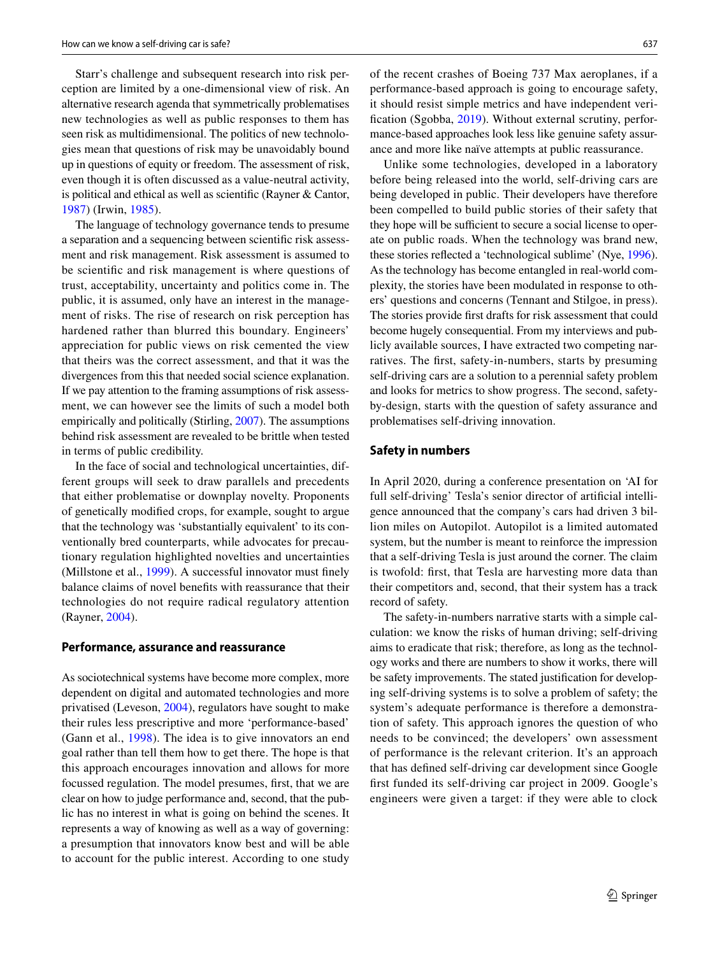Starr's challenge and subsequent research into risk perception are limited by a one-dimensional view of risk. An alternative research agenda that symmetrically problematises new technologies as well as public responses to them has seen risk as multidimensional. The politics of new technologies mean that questions of risk may be unavoidably bound up in questions of equity or freedom. The assessment of risk, even though it is often discussed as a value-neutral activity, is political and ethical as well as scientifc (Rayner & Cantor, [1987](#page-12-8)) (Irwin, [1985\)](#page-11-6).

The language of technology governance tends to presume a separation and a sequencing between scientifc risk assessment and risk management. Risk assessment is assumed to be scientifc and risk management is where questions of trust, acceptability, uncertainty and politics come in. The public, it is assumed, only have an interest in the management of risks. The rise of research on risk perception has hardened rather than blurred this boundary. Engineers' appreciation for public views on risk cemented the view that theirs was the correct assessment, and that it was the divergences from this that needed social science explanation. If we pay attention to the framing assumptions of risk assessment, we can however see the limits of such a model both empirically and politically (Stirling, [2007](#page-12-6)). The assumptions behind risk assessment are revealed to be brittle when tested in terms of public credibility.

In the face of social and technological uncertainties, different groups will seek to draw parallels and precedents that either problematise or downplay novelty. Proponents of genetically modifed crops, for example, sought to argue that the technology was 'substantially equivalent' to its conventionally bred counterparts, while advocates for precautionary regulation highlighted novelties and uncertainties (Millstone et al., [1999\)](#page-11-7). A successful innovator must fnely balance claims of novel benefts with reassurance that their technologies do not require radical regulatory attention (Rayner, [2004](#page-12-9)).

# **Performance, assurance and reassurance**

As sociotechnical systems have become more complex, more dependent on digital and automated technologies and more privatised (Leveson, [2004\)](#page-11-8), regulators have sought to make their rules less prescriptive and more 'performance-based' (Gann et al., [1998](#page-11-9)). The idea is to give innovators an end goal rather than tell them how to get there. The hope is that this approach encourages innovation and allows for more focussed regulation. The model presumes, frst, that we are clear on how to judge performance and, second, that the public has no interest in what is going on behind the scenes. It represents a way of knowing as well as a way of governing: a presumption that innovators know best and will be able to account for the public interest. According to one study

of the recent crashes of Boeing 737 Max aeroplanes, if a performance-based approach is going to encourage safety, it should resist simple metrics and have independent veri-fication (Sgobba, [2019\)](#page-12-10). Without external scrutiny, performance-based approaches look less like genuine safety assurance and more like naïve attempts at public reassurance.

Unlike some technologies, developed in a laboratory before being released into the world, self-driving cars are being developed in public. Their developers have therefore been compelled to build public stories of their safety that they hope will be sufficient to secure a social license to operate on public roads. When the technology was brand new, these stories refected a 'technological sublime' (Nye, [1996](#page-12-11)). As the technology has become entangled in real-world complexity, the stories have been modulated in response to others' questions and concerns (Tennant and Stilgoe, in press). The stories provide frst drafts for risk assessment that could become hugely consequential. From my interviews and publicly available sources, I have extracted two competing narratives. The frst, safety-in-numbers, starts by presuming self-driving cars are a solution to a perennial safety problem and looks for metrics to show progress. The second, safetyby-design, starts with the question of safety assurance and problematises self-driving innovation.

#### **Safety in numbers**

In April 2020, during a conference presentation on 'AI for full self-driving' Tesla's senior director of artifcial intelligence announced that the company's cars had driven 3 billion miles on Autopilot. Autopilot is a limited automated system, but the number is meant to reinforce the impression that a self-driving Tesla is just around the corner. The claim is twofold: frst, that Tesla are harvesting more data than their competitors and, second, that their system has a track record of safety.

The safety-in-numbers narrative starts with a simple calculation: we know the risks of human driving; self-driving aims to eradicate that risk; therefore, as long as the technology works and there are numbers to show it works, there will be safety improvements. The stated justifcation for developing self-driving systems is to solve a problem of safety; the system's adequate performance is therefore a demonstration of safety. This approach ignores the question of who needs to be convinced; the developers' own assessment of performance is the relevant criterion. It's an approach that has defned self-driving car development since Google frst funded its self-driving car project in 2009. Google's engineers were given a target: if they were able to clock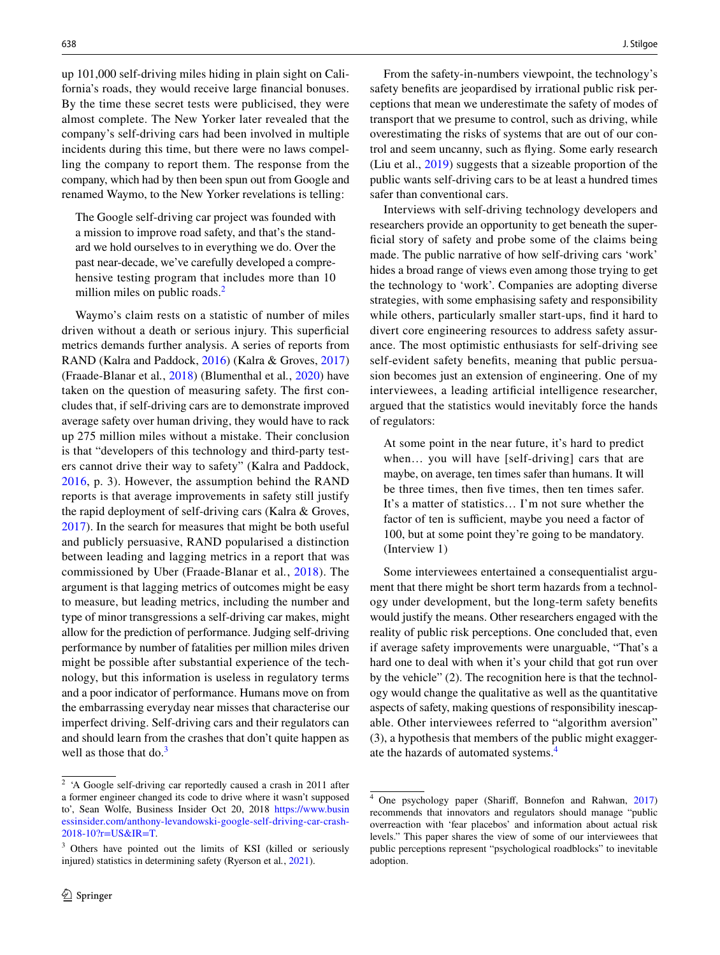up 101,000 self-driving miles hiding in plain sight on California's roads, they would receive large fnancial bonuses. By the time these secret tests were publicised, they were almost complete. The New Yorker later revealed that the company's self-driving cars had been involved in multiple incidents during this time, but there were no laws compelling the company to report them. The response from the company, which had by then been spun out from Google and renamed Waymo, to the New Yorker revelations is telling:

The Google self-driving car project was founded with a mission to improve road safety, and that's the standard we hold ourselves to in everything we do. Over the past near-decade, we've carefully developed a comprehensive testing program that includes more than 10 million miles on public roads.<sup>[2](#page-3-0)</sup>

Waymo's claim rests on a statistic of number of miles driven without a death or serious injury. This superficial metrics demands further analysis. A series of reports from RAND (Kalra and Paddock, [2016](#page-11-10)) (Kalra & Groves, [2017\)](#page-11-11) (Fraade-Blanar et al*.*, [2018](#page-11-12)) (Blumenthal et al*.*, [2020\)](#page-11-13) have taken on the question of measuring safety. The frst concludes that, if self-driving cars are to demonstrate improved average safety over human driving, they would have to rack up 275 million miles without a mistake. Their conclusion is that "developers of this technology and third-party testers cannot drive their way to safety" (Kalra and Paddock, [2016,](#page-11-10) p. 3). However, the assumption behind the RAND reports is that average improvements in safety still justify the rapid deployment of self-driving cars (Kalra & Groves, [2017](#page-11-11)). In the search for measures that might be both useful and publicly persuasive, RAND popularised a distinction between leading and lagging metrics in a report that was commissioned by Uber (Fraade-Blanar et al*.*, [2018\)](#page-11-12). The argument is that lagging metrics of outcomes might be easy to measure, but leading metrics, including the number and type of minor transgressions a self-driving car makes, might allow for the prediction of performance. Judging self-driving performance by number of fatalities per million miles driven might be possible after substantial experience of the technology, but this information is useless in regulatory terms and a poor indicator of performance. Humans move on from the embarrassing everyday near misses that characterise our imperfect driving. Self-driving cars and their regulators can and should learn from the crashes that don't quite happen as well as those that  $\text{do}^3$  $\text{do}^3$ 

From the safety-in-numbers viewpoint, the technology's safety benefts are jeopardised by irrational public risk perceptions that mean we underestimate the safety of modes of transport that we presume to control, such as driving, while overestimating the risks of systems that are out of our control and seem uncanny, such as fying. Some early research (Liu et al., [2019\)](#page-11-14) suggests that a sizeable proportion of the public wants self-driving cars to be at least a hundred times safer than conventional cars.

Interviews with self-driving technology developers and researchers provide an opportunity to get beneath the superficial story of safety and probe some of the claims being made. The public narrative of how self-driving cars 'work' hides a broad range of views even among those trying to get the technology to 'work'. Companies are adopting diverse strategies, with some emphasising safety and responsibility while others, particularly smaller start-ups, fnd it hard to divert core engineering resources to address safety assurance. The most optimistic enthusiasts for self-driving see self-evident safety benefts, meaning that public persuasion becomes just an extension of engineering. One of my interviewees, a leading artifcial intelligence researcher, argued that the statistics would inevitably force the hands of regulators:

At some point in the near future, it's hard to predict when... you will have [self-driving] cars that are maybe, on average, ten times safer than humans. It will be three times, then fve times, then ten times safer. It's a matter of statistics… I'm not sure whether the factor of ten is sufficient, maybe you need a factor of 100, but at some point they're going to be mandatory. (Interview 1)

Some interviewees entertained a consequentialist argument that there might be short term hazards from a technology under development, but the long-term safety benefts would justify the means. Other researchers engaged with the reality of public risk perceptions. One concluded that, even if average safety improvements were unarguable, "That's a hard one to deal with when it's your child that got run over by the vehicle" (2). The recognition here is that the technology would change the qualitative as well as the quantitative aspects of safety, making questions of responsibility inescapable. Other interviewees referred to "algorithm aversion" (3), a hypothesis that members of the public might exaggerate the hazards of automated systems.[4](#page-3-2)

<span id="page-3-0"></span><sup>&</sup>lt;sup>2</sup> 'A Google self-driving car reportedly caused a crash in 2011 after a former engineer changed its code to drive where it wasn't supposed to', Sean Wolfe, Business Insider Oct 20, 2018 [https://www.busin](https://www.businessinsider.com/anthony-levandowski-google-self-driving-car-crash-2018-10?r=US&IR=T) [essinsider.com/anthony-levandowski-google-self-driving-car-crash-](https://www.businessinsider.com/anthony-levandowski-google-self-driving-car-crash-2018-10?r=US&IR=T)[2018-10?r=US&IR=T](https://www.businessinsider.com/anthony-levandowski-google-self-driving-car-crash-2018-10?r=US&IR=T).

<span id="page-3-1"></span><sup>&</sup>lt;sup>3</sup> Others have pointed out the limits of KSI (killed or seriously injured) statistics in determining safety (Ryerson et al*.*, [2021](#page-12-12)).

<span id="page-3-2"></span><sup>4</sup> One psychology paper (Sharif, Bonnefon and Rahwan, [2017](#page-12-13)) recommends that innovators and regulators should manage "public overreaction with 'fear placebos' and information about actual risk levels." This paper shares the view of some of our interviewees that public perceptions represent "psychological roadblocks" to inevitable adoption.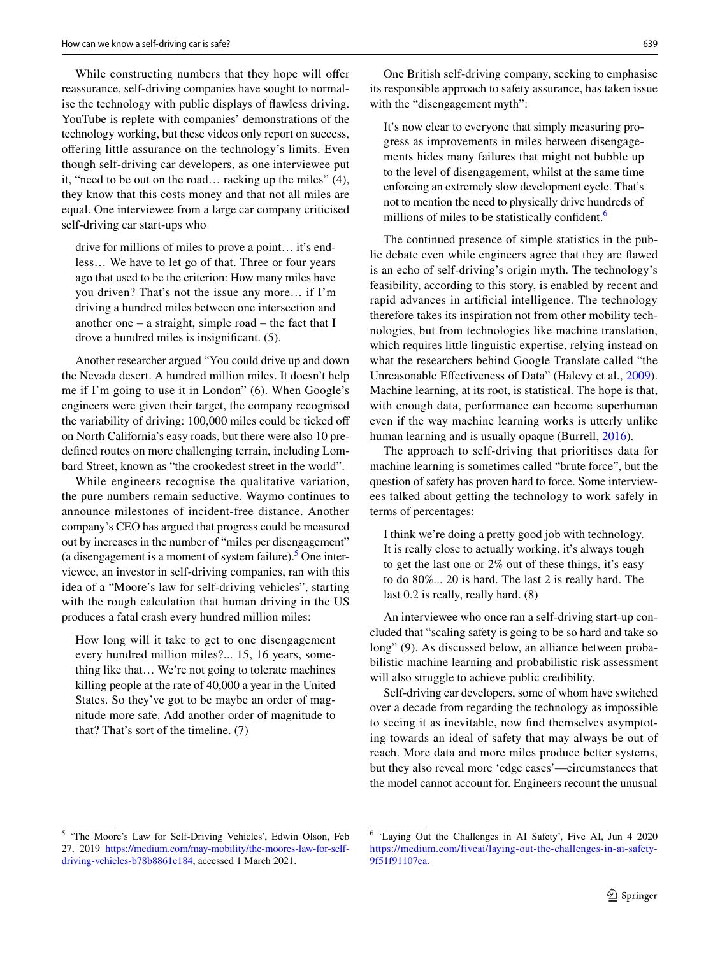While constructing numbers that they hope will offer reassurance, self-driving companies have sought to normalise the technology with public displays of fawless driving. YouTube is replete with companies' demonstrations of the technology working, but these videos only report on success, ofering little assurance on the technology's limits. Even though self-driving car developers, as one interviewee put it, "need to be out on the road… racking up the miles" (4), they know that this costs money and that not all miles are equal. One interviewee from a large car company criticised self-driving car start-ups who

drive for millions of miles to prove a point… it's endless… We have to let go of that. Three or four years ago that used to be the criterion: How many miles have you driven? That's not the issue any more… if I'm driving a hundred miles between one intersection and another one – a straight, simple road – the fact that I drove a hundred miles is insignifcant. (5).

Another researcher argued "You could drive up and down the Nevada desert. A hundred million miles. It doesn't help me if I'm going to use it in London" (6). When Google's engineers were given their target, the company recognised the variability of driving: 100,000 miles could be ticked of on North California's easy roads, but there were also 10 predefned routes on more challenging terrain, including Lombard Street, known as "the crookedest street in the world".

While engineers recognise the qualitative variation, the pure numbers remain seductive. Waymo continues to announce milestones of incident-free distance. Another company's CEO has argued that progress could be measured out by increases in the number of "miles per disengagement" (a disengagement is a moment of system failure). $5$  One interviewee, an investor in self-driving companies, ran with this idea of a "Moore's law for self-driving vehicles", starting with the rough calculation that human driving in the US produces a fatal crash every hundred million miles:

How long will it take to get to one disengagement every hundred million miles?... 15, 16 years, something like that… We're not going to tolerate machines killing people at the rate of 40,000 a year in the United States. So they've got to be maybe an order of magnitude more safe. Add another order of magnitude to that? That's sort of the timeline. (7)

One British self-driving company, seeking to emphasise its responsible approach to safety assurance, has taken issue with the "disengagement myth":

It's now clear to everyone that simply measuring progress as improvements in miles between disengagements hides many failures that might not bubble up to the level of disengagement, whilst at the same time enforcing an extremely slow development cycle. That's not to mention the need to physically drive hundreds of millions of miles to be statistically confident.<sup>[6](#page-4-1)</sup>

The continued presence of simple statistics in the public debate even while engineers agree that they are fawed is an echo of self-driving's origin myth. The technology's feasibility, according to this story, is enabled by recent and rapid advances in artifcial intelligence. The technology therefore takes its inspiration not from other mobility technologies, but from technologies like machine translation, which requires little linguistic expertise, relying instead on what the researchers behind Google Translate called "the Unreasonable Efectiveness of Data" (Halevy et al., [2009](#page-11-15)). Machine learning, at its root, is statistical. The hope is that, with enough data, performance can become superhuman even if the way machine learning works is utterly unlike human learning and is usually opaque (Burrell, [2016](#page-11-16)).

The approach to self-driving that prioritises data for machine learning is sometimes called "brute force", but the question of safety has proven hard to force. Some interviewees talked about getting the technology to work safely in terms of percentages:

I think we're doing a pretty good job with technology. It is really close to actually working. it's always tough to get the last one or 2% out of these things, it's easy to do 80%... 20 is hard. The last 2 is really hard. The last 0.2 is really, really hard. (8)

An interviewee who once ran a self-driving start-up concluded that "scaling safety is going to be so hard and take so long" (9). As discussed below, an alliance between probabilistic machine learning and probabilistic risk assessment will also struggle to achieve public credibility.

Self-driving car developers, some of whom have switched over a decade from regarding the technology as impossible to seeing it as inevitable, now fnd themselves asymptoting towards an ideal of safety that may always be out of reach. More data and more miles produce better systems, but they also reveal more 'edge cases'—circumstances that the model cannot account for. Engineers recount the unusual

<span id="page-4-0"></span><sup>5</sup> 'The Moore's Law for Self-Driving Vehicles', Edwin Olson, Feb 27, 2019 [https://medium.com/may-mobility/the-moores-law-for-self](https://medium.com/may-mobility/the-moores-law-for-self-driving-vehicles-b78b8861e184)[driving-vehicles-b78b8861e184,](https://medium.com/may-mobility/the-moores-law-for-self-driving-vehicles-b78b8861e184) accessed 1 March 2021.

<span id="page-4-1"></span><sup>6</sup> 'Laying Out the Challenges in AI Safety', Five AI, Jun 4 2020 [https://medium.com/fiveai/laying-out-the-challenges-in-ai-safety-](https://medium.com/fiveai/laying-out-the-challenges-in-ai-safety-9f51f91107ea)[9f51f91107ea](https://medium.com/fiveai/laying-out-the-challenges-in-ai-safety-9f51f91107ea).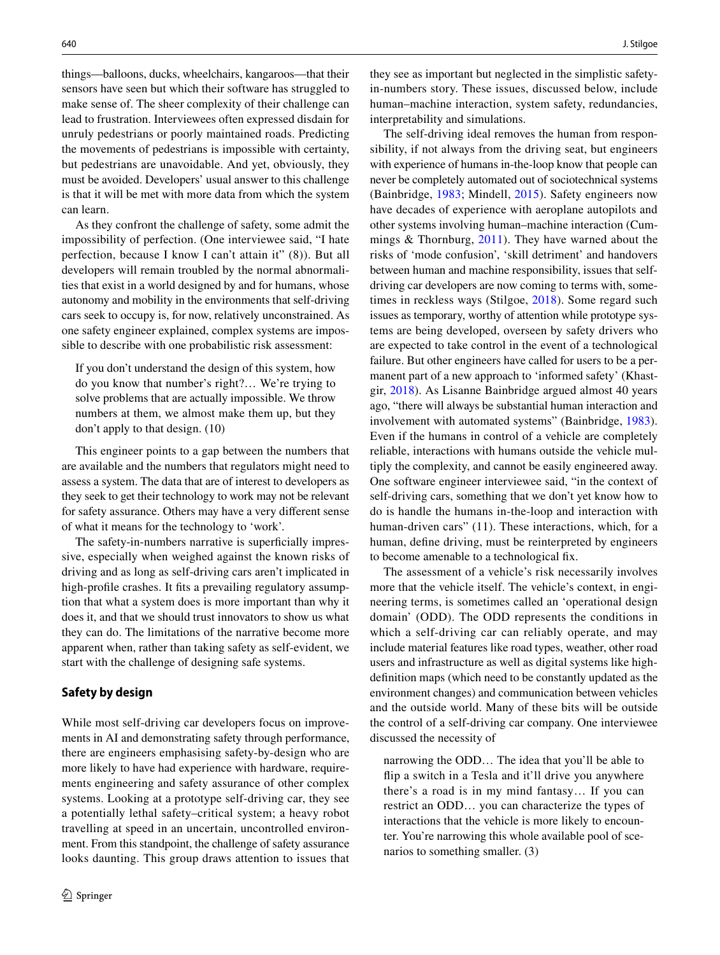things—balloons, ducks, wheelchairs, kangaroos—that their sensors have seen but which their software has struggled to make sense of. The sheer complexity of their challenge can lead to frustration. Interviewees often expressed disdain for unruly pedestrians or poorly maintained roads. Predicting the movements of pedestrians is impossible with certainty, but pedestrians are unavoidable. And yet, obviously, they must be avoided. Developers' usual answer to this challenge is that it will be met with more data from which the system can learn.

As they confront the challenge of safety, some admit the impossibility of perfection. (One interviewee said, "I hate perfection, because I know I can't attain it" (8)). But all developers will remain troubled by the normal abnormalities that exist in a world designed by and for humans, whose autonomy and mobility in the environments that self-driving cars seek to occupy is, for now, relatively unconstrained. As one safety engineer explained, complex systems are impossible to describe with one probabilistic risk assessment:

If you don't understand the design of this system, how do you know that number's right?… We're trying to solve problems that are actually impossible. We throw numbers at them, we almost make them up, but they don't apply to that design. (10)

This engineer points to a gap between the numbers that are available and the numbers that regulators might need to assess a system. The data that are of interest to developers as they seek to get their technology to work may not be relevant for safety assurance. Others may have a very diferent sense of what it means for the technology to 'work'.

The safety-in-numbers narrative is superficially impressive, especially when weighed against the known risks of driving and as long as self-driving cars aren't implicated in high-profile crashes. It fits a prevailing regulatory assumption that what a system does is more important than why it does it, and that we should trust innovators to show us what they can do. The limitations of the narrative become more apparent when, rather than taking safety as self-evident, we start with the challenge of designing safe systems.

#### **Safety by design**

While most self-driving car developers focus on improvements in AI and demonstrating safety through performance, there are engineers emphasising safety-by-design who are more likely to have had experience with hardware, requirements engineering and safety assurance of other complex systems. Looking at a prototype self-driving car, they see a potentially lethal safety–critical system; a heavy robot travelling at speed in an uncertain, uncontrolled environment. From this standpoint, the challenge of safety assurance looks daunting. This group draws attention to issues that they see as important but neglected in the simplistic safetyin-numbers story. These issues, discussed below, include human–machine interaction, system safety, redundancies, interpretability and simulations.

The self-driving ideal removes the human from responsibility, if not always from the driving seat, but engineers with experience of humans in-the-loop know that people can never be completely automated out of sociotechnical systems (Bainbridge, [1983;](#page-11-17) Mindell, [2015](#page-12-14)). Safety engineers now have decades of experience with aeroplane autopilots and other systems involving human–machine interaction (Cummings & Thornburg, [2011](#page-11-18)). They have warned about the risks of 'mode confusion', 'skill detriment' and handovers between human and machine responsibility, issues that selfdriving car developers are now coming to terms with, sometimes in reckless ways (Stilgoe, [2018\)](#page-12-0). Some regard such issues as temporary, worthy of attention while prototype systems are being developed, overseen by safety drivers who are expected to take control in the event of a technological failure. But other engineers have called for users to be a permanent part of a new approach to 'informed safety' (Khastgir, [2018](#page-11-19)). As Lisanne Bainbridge argued almost 40 years ago, "there will always be substantial human interaction and involvement with automated systems" (Bainbridge, [1983](#page-11-17)). Even if the humans in control of a vehicle are completely reliable, interactions with humans outside the vehicle multiply the complexity, and cannot be easily engineered away. One software engineer interviewee said, "in the context of self-driving cars, something that we don't yet know how to do is handle the humans in-the-loop and interaction with human-driven cars" (11). These interactions, which, for a human, defne driving, must be reinterpreted by engineers to become amenable to a technological fx.

The assessment of a vehicle's risk necessarily involves more that the vehicle itself. The vehicle's context, in engineering terms, is sometimes called an 'operational design domain' (ODD). The ODD represents the conditions in which a self-driving car can reliably operate, and may include material features like road types, weather, other road users and infrastructure as well as digital systems like highdefnition maps (which need to be constantly updated as the environment changes) and communication between vehicles and the outside world. Many of these bits will be outside the control of a self-driving car company. One interviewee discussed the necessity of

narrowing the ODD… The idea that you'll be able to fip a switch in a Tesla and it'll drive you anywhere there's a road is in my mind fantasy… If you can restrict an ODD… you can characterize the types of interactions that the vehicle is more likely to encounter. You're narrowing this whole available pool of scenarios to something smaller. (3)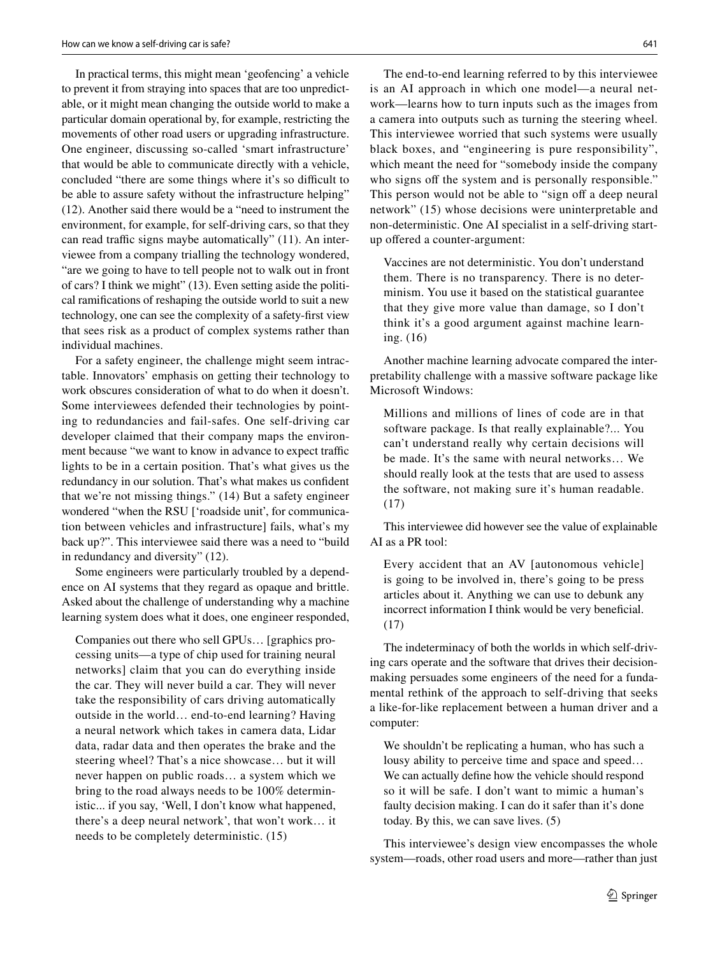In practical terms, this might mean 'geofencing' a vehicle to prevent it from straying into spaces that are too unpredictable, or it might mean changing the outside world to make a particular domain operational by, for example, restricting the movements of other road users or upgrading infrastructure. One engineer, discussing so-called 'smart infrastructure' that would be able to communicate directly with a vehicle, concluded "there are some things where it's so difficult to be able to assure safety without the infrastructure helping" (12). Another said there would be a "need to instrument the environment, for example, for self-driving cars, so that they can read traffic signs maybe automatically" (11). An interviewee from a company trialling the technology wondered, "are we going to have to tell people not to walk out in front of cars? I think we might" (13). Even setting aside the political ramifcations of reshaping the outside world to suit a new technology, one can see the complexity of a safety-frst view that sees risk as a product of complex systems rather than individual machines.

For a safety engineer, the challenge might seem intractable. Innovators' emphasis on getting their technology to work obscures consideration of what to do when it doesn't. Some interviewees defended their technologies by pointing to redundancies and fail-safes. One self-driving car developer claimed that their company maps the environment because "we want to know in advance to expect traffic lights to be in a certain position. That's what gives us the redundancy in our solution. That's what makes us confdent that we're not missing things." (14) But a safety engineer wondered "when the RSU ['roadside unit', for communication between vehicles and infrastructure] fails, what's my back up?". This interviewee said there was a need to "build in redundancy and diversity" (12).

Some engineers were particularly troubled by a dependence on AI systems that they regard as opaque and brittle. Asked about the challenge of understanding why a machine learning system does what it does, one engineer responded,

Companies out there who sell GPUs… [graphics processing units—a type of chip used for training neural networks] claim that you can do everything inside the car. They will never build a car. They will never take the responsibility of cars driving automatically outside in the world… end-to-end learning? Having a neural network which takes in camera data, Lidar data, radar data and then operates the brake and the steering wheel? That's a nice showcase… but it will never happen on public roads… a system which we bring to the road always needs to be 100% deterministic... if you say, 'Well, I don't know what happened, there's a deep neural network', that won't work… it needs to be completely deterministic. (15)

The end-to-end learning referred to by this interviewee is an AI approach in which one model—a neural network—learns how to turn inputs such as the images from a camera into outputs such as turning the steering wheel. This interviewee worried that such systems were usually black boxes, and "engineering is pure responsibility", which meant the need for "somebody inside the company who signs off the system and is personally responsible." This person would not be able to "sign off a deep neural network" (15) whose decisions were uninterpretable and non-deterministic. One AI specialist in a self-driving startup ofered a counter-argument:

Vaccines are not deterministic. You don't understand them. There is no transparency. There is no determinism. You use it based on the statistical guarantee that they give more value than damage, so I don't think it's a good argument against machine learning. (16)

Another machine learning advocate compared the interpretability challenge with a massive software package like Microsoft Windows:

Millions and millions of lines of code are in that software package. Is that really explainable?... You can't understand really why certain decisions will be made. It's the same with neural networks… We should really look at the tests that are used to assess the software, not making sure it's human readable. (17)

This interviewee did however see the value of explainable AI as a PR tool:

Every accident that an AV [autonomous vehicle] is going to be involved in, there's going to be press articles about it. Anything we can use to debunk any incorrect information I think would be very beneficial. (17)

The indeterminacy of both the worlds in which self-driving cars operate and the software that drives their decisionmaking persuades some engineers of the need for a fundamental rethink of the approach to self-driving that seeks a like-for-like replacement between a human driver and a computer:

We shouldn't be replicating a human, who has such a lousy ability to perceive time and space and speed… We can actually defne how the vehicle should respond so it will be safe. I don't want to mimic a human's faulty decision making. I can do it safer than it's done today. By this, we can save lives. (5)

This interviewee's design view encompasses the whole system—roads, other road users and more—rather than just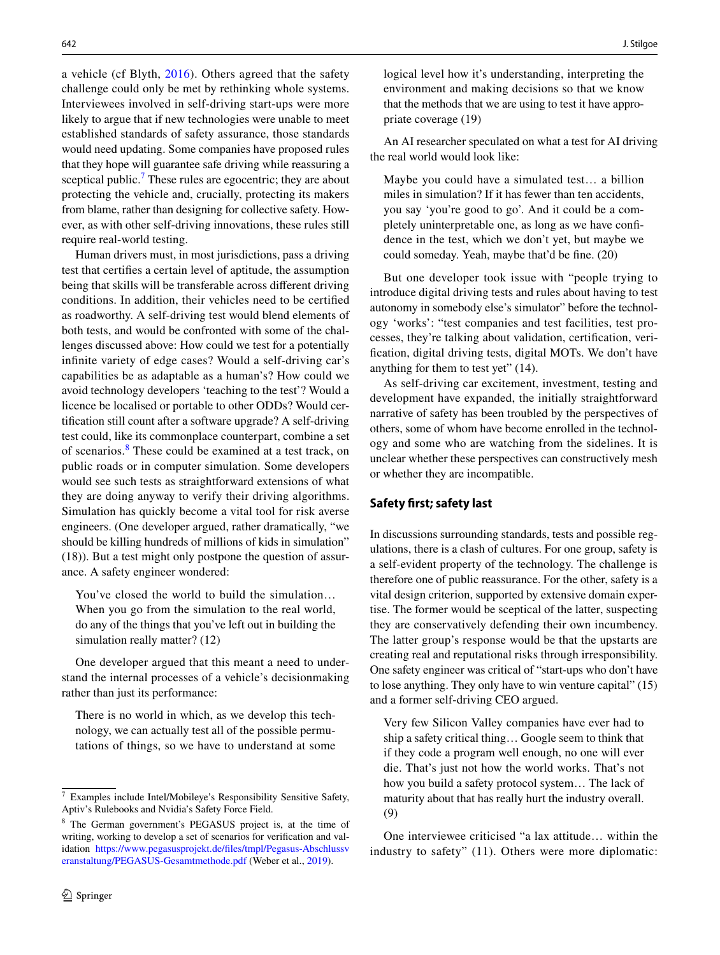a vehicle (cf Blyth, [2016](#page-11-20)). Others agreed that the safety challenge could only be met by rethinking whole systems. Interviewees involved in self-driving start-ups were more likely to argue that if new technologies were unable to meet established standards of safety assurance, those standards would need updating. Some companies have proposed rules that they hope will guarantee safe driving while reassuring a sceptical public.<sup>[7](#page-7-0)</sup> These rules are egocentric; they are about protecting the vehicle and, crucially, protecting its makers from blame, rather than designing for collective safety. However, as with other self-driving innovations, these rules still require real-world testing.

Human drivers must, in most jurisdictions, pass a driving test that certifes a certain level of aptitude, the assumption being that skills will be transferable across diferent driving conditions. In addition, their vehicles need to be certifed as roadworthy. A self-driving test would blend elements of both tests, and would be confronted with some of the challenges discussed above: How could we test for a potentially infnite variety of edge cases? Would a self-driving car's capabilities be as adaptable as a human's? How could we avoid technology developers 'teaching to the test'? Would a licence be localised or portable to other ODDs? Would certifcation still count after a software upgrade? A self-driving test could, like its commonplace counterpart, combine a set of scenarios.<sup>[8](#page-7-1)</sup> These could be examined at a test track, on public roads or in computer simulation. Some developers would see such tests as straightforward extensions of what they are doing anyway to verify their driving algorithms. Simulation has quickly become a vital tool for risk averse engineers. (One developer argued, rather dramatically, "we should be killing hundreds of millions of kids in simulation" (18)). But a test might only postpone the question of assurance. A safety engineer wondered:

You've closed the world to build the simulation… When you go from the simulation to the real world, do any of the things that you've left out in building the simulation really matter? (12)

One developer argued that this meant a need to understand the internal processes of a vehicle's decisionmaking rather than just its performance:

There is no world in which, as we develop this technology, we can actually test all of the possible permutations of things, so we have to understand at some logical level how it's understanding, interpreting the environment and making decisions so that we know that the methods that we are using to test it have appropriate coverage (19)

An AI researcher speculated on what a test for AI driving the real world would look like:

Maybe you could have a simulated test… a billion miles in simulation? If it has fewer than ten accidents, you say 'you're good to go'. And it could be a completely uninterpretable one, as long as we have confdence in the test, which we don't yet, but maybe we could someday. Yeah, maybe that'd be fne. (20)

But one developer took issue with "people trying to introduce digital driving tests and rules about having to test autonomy in somebody else's simulator" before the technology 'works': "test companies and test facilities, test processes, they're talking about validation, certifcation, verifcation, digital driving tests, digital MOTs. We don't have anything for them to test yet" (14).

As self-driving car excitement, investment, testing and development have expanded, the initially straightforward narrative of safety has been troubled by the perspectives of others, some of whom have become enrolled in the technology and some who are watching from the sidelines. It is unclear whether these perspectives can constructively mesh or whether they are incompatible.

## **Safety frst; safety last**

In discussions surrounding standards, tests and possible regulations, there is a clash of cultures. For one group, safety is a self-evident property of the technology. The challenge is therefore one of public reassurance. For the other, safety is a vital design criterion, supported by extensive domain expertise. The former would be sceptical of the latter, suspecting they are conservatively defending their own incumbency. The latter group's response would be that the upstarts are creating real and reputational risks through irresponsibility. One safety engineer was critical of "start-ups who don't have to lose anything. They only have to win venture capital" (15) and a former self-driving CEO argued.

Very few Silicon Valley companies have ever had to ship a safety critical thing… Google seem to think that if they code a program well enough, no one will ever die. That's just not how the world works. That's not how you build a safety protocol system… The lack of maturity about that has really hurt the industry overall. (9)

One interviewee criticised "a lax attitude… within the industry to safety" (11). Others were more diplomatic:

<span id="page-7-0"></span>Examples include Intel/Mobileye's Responsibility Sensitive Safety, Aptiv's Rulebooks and Nvidia's Safety Force Field.

<span id="page-7-1"></span><sup>8</sup> The German government's PEGASUS project is, at the time of writing, working to develop a set of scenarios for verifcation and validation [https://www.pegasusprojekt.de/fles/tmpl/Pegasus-Abschlussv](https://www.pegasusprojekt.de/files/tmpl/Pegasus-Abschlussveranstaltung/PEGASUS-Gesamtmethode.pdf) [eranstaltung/PEGASUS-Gesamtmethode.pdf](https://www.pegasusprojekt.de/files/tmpl/Pegasus-Abschlussveranstaltung/PEGASUS-Gesamtmethode.pdf) (Weber et al., [2019](#page-12-5)).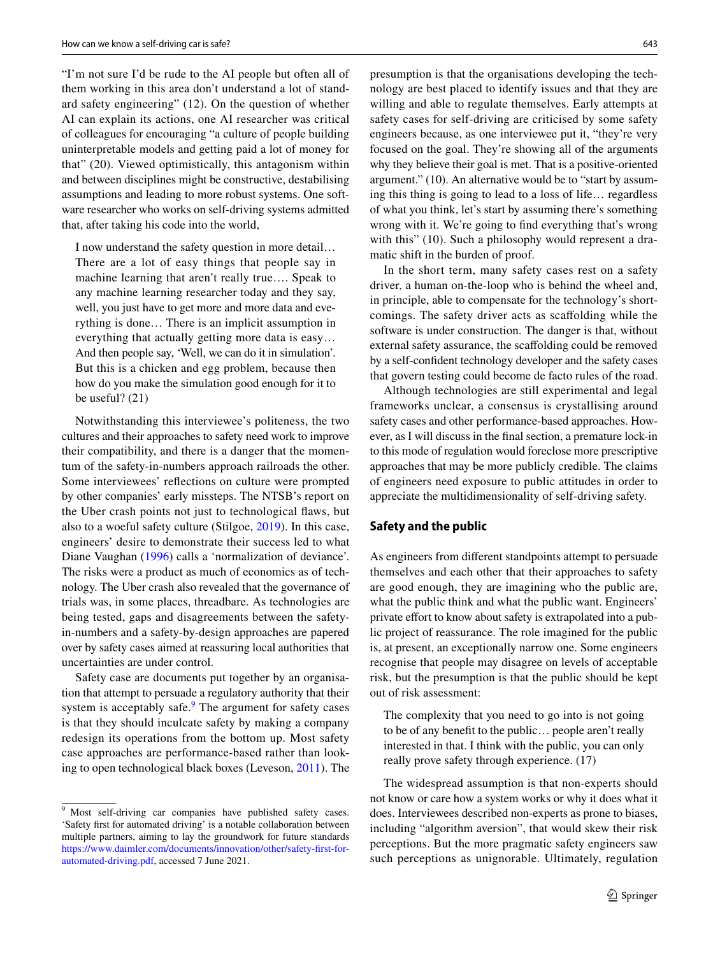"I'm not sure I'd be rude to the AI people but often all of them working in this area don't understand a lot of standard safety engineering" (12). On the question of whether AI can explain its actions, one AI researcher was critical of colleagues for encouraging "a culture of people building uninterpretable models and getting paid a lot of money for that" (20). Viewed optimistically, this antagonism within and between disciplines might be constructive, destabilising assumptions and leading to more robust systems. One software researcher who works on self-driving systems admitted that, after taking his code into the world,

I now understand the safety question in more detail… There are a lot of easy things that people say in machine learning that aren't really true…. Speak to any machine learning researcher today and they say, well, you just have to get more and more data and everything is done… There is an implicit assumption in everything that actually getting more data is easy… And then people say, 'Well, we can do it in simulation'. But this is a chicken and egg problem, because then how do you make the simulation good enough for it to be useful? (21)

Notwithstanding this interviewee's politeness, the two cultures and their approaches to safety need work to improve their compatibility, and there is a danger that the momentum of the safety-in-numbers approach railroads the other. Some interviewees' refections on culture were prompted by other companies' early missteps. The NTSB's report on the Uber crash points not just to technological faws, but also to a woeful safety culture (Stilgoe, [2019](#page-12-15)). In this case, engineers' desire to demonstrate their success led to what Diane Vaughan ([1996\)](#page-12-16) calls a 'normalization of deviance'. The risks were a product as much of economics as of technology. The Uber crash also revealed that the governance of trials was, in some places, threadbare. As technologies are being tested, gaps and disagreements between the safetyin-numbers and a safety-by-design approaches are papered over by safety cases aimed at reassuring local authorities that uncertainties are under control.

Safety case are documents put together by an organisation that attempt to persuade a regulatory authority that their system is acceptably safe.<sup>[9](#page-8-0)</sup> The argument for safety cases is that they should inculcate safety by making a company redesign its operations from the bottom up. Most safety case approaches are performance-based rather than looking to open technological black boxes (Leveson, [2011](#page-11-21)). The

presumption is that the organisations developing the technology are best placed to identify issues and that they are willing and able to regulate themselves. Early attempts at safety cases for self-driving are criticised by some safety engineers because, as one interviewee put it, "they're very focused on the goal. They're showing all of the arguments why they believe their goal is met. That is a positive-oriented argument." (10). An alternative would be to "start by assuming this thing is going to lead to a loss of life… regardless of what you think, let's start by assuming there's something wrong with it. We're going to fnd everything that's wrong with this" (10). Such a philosophy would represent a dramatic shift in the burden of proof.

In the short term, many safety cases rest on a safety driver, a human on-the-loop who is behind the wheel and, in principle, able to compensate for the technology's shortcomings. The safety driver acts as scafolding while the software is under construction. The danger is that, without external safety assurance, the scafolding could be removed by a self-confdent technology developer and the safety cases that govern testing could become de facto rules of the road.

Although technologies are still experimental and legal frameworks unclear, a consensus is crystallising around safety cases and other performance-based approaches. However, as I will discuss in the fnal section, a premature lock-in to this mode of regulation would foreclose more prescriptive approaches that may be more publicly credible. The claims of engineers need exposure to public attitudes in order to appreciate the multidimensionality of self-driving safety.

### **Safety and the public**

As engineers from diferent standpoints attempt to persuade themselves and each other that their approaches to safety are good enough, they are imagining who the public are, what the public think and what the public want. Engineers' private effort to know about safety is extrapolated into a public project of reassurance. The role imagined for the public is, at present, an exceptionally narrow one. Some engineers recognise that people may disagree on levels of acceptable risk, but the presumption is that the public should be kept out of risk assessment:

The complexity that you need to go into is not going to be of any beneft to the public… people aren't really interested in that. I think with the public, you can only really prove safety through experience. (17)

The widespread assumption is that non-experts should not know or care how a system works or why it does what it does. Interviewees described non-experts as prone to biases, including "algorithm aversion", that would skew their risk perceptions. But the more pragmatic safety engineers saw such perceptions as unignorable. Ultimately, regulation

<span id="page-8-0"></span><sup>&</sup>lt;sup>9</sup> Most self-driving car companies have published safety cases. 'Safety frst for automated driving' is a notable collaboration between multiple partners, aiming to lay the groundwork for future standards [https://www.daimler.com/documents/innovation/other/safety-frst-for](https://www.daimler.com/documents/innovation/other/safety-first-for-automated-driving.pdf)[automated-driving.pdf](https://www.daimler.com/documents/innovation/other/safety-first-for-automated-driving.pdf), accessed 7 June 2021.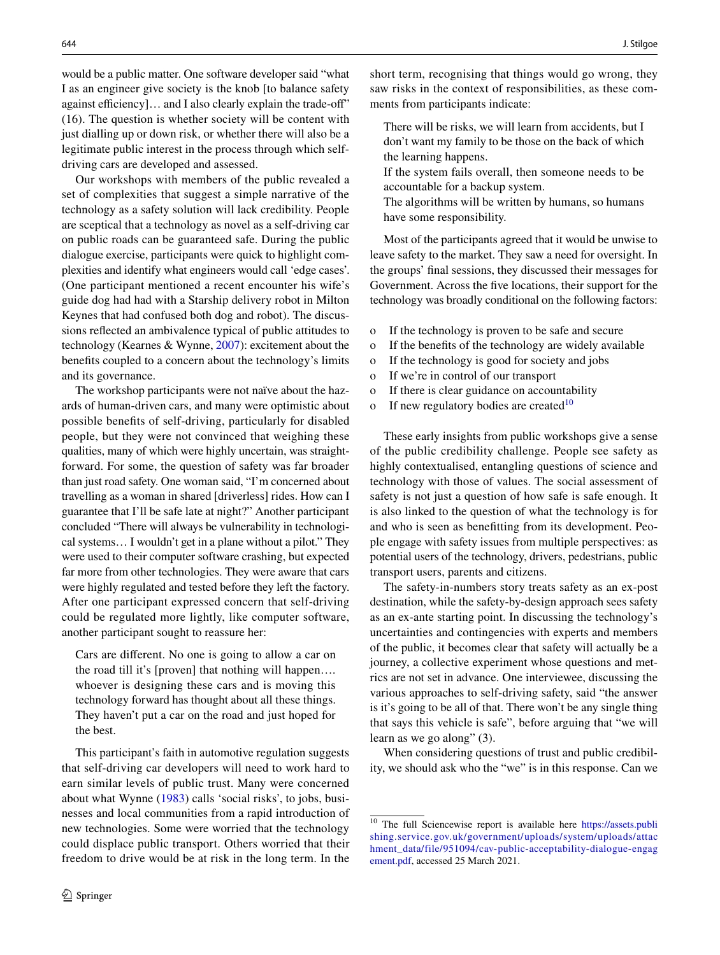would be a public matter. One software developer said "what I as an engineer give society is the knob [to balance safety against efficiency]... and I also clearly explain the trade-off" (16). The question is whether society will be content with just dialling up or down risk, or whether there will also be a legitimate public interest in the process through which selfdriving cars are developed and assessed.

Our workshops with members of the public revealed a set of complexities that suggest a simple narrative of the technology as a safety solution will lack credibility. People are sceptical that a technology as novel as a self-driving car on public roads can be guaranteed safe. During the public dialogue exercise, participants were quick to highlight complexities and identify what engineers would call 'edge cases'. (One participant mentioned a recent encounter his wife's guide dog had had with a Starship delivery robot in Milton Keynes that had confused both dog and robot). The discussions refected an ambivalence typical of public attitudes to technology (Kearnes & Wynne, [2007\)](#page-11-22): excitement about the benefts coupled to a concern about the technology's limits and its governance.

The workshop participants were not naïve about the hazards of human-driven cars, and many were optimistic about possible benefts of self-driving, particularly for disabled people, but they were not convinced that weighing these qualities, many of which were highly uncertain, was straightforward. For some, the question of safety was far broader than just road safety. One woman said, "I'm concerned about travelling as a woman in shared [driverless] rides. How can I guarantee that I'll be safe late at night?" Another participant concluded "There will always be vulnerability in technological systems… I wouldn't get in a plane without a pilot." They were used to their computer software crashing, but expected far more from other technologies. They were aware that cars were highly regulated and tested before they left the factory. After one participant expressed concern that self-driving could be regulated more lightly, like computer software, another participant sought to reassure her:

Cars are diferent. No one is going to allow a car on the road till it's [proven] that nothing will happen…. whoever is designing these cars and is moving this technology forward has thought about all these things. They haven't put a car on the road and just hoped for the best.

This participant's faith in automotive regulation suggests that self-driving car developers will need to work hard to earn similar levels of public trust. Many were concerned about what Wynne ([1983](#page-12-17)) calls 'social risks', to jobs, businesses and local communities from a rapid introduction of new technologies. Some were worried that the technology could displace public transport. Others worried that their freedom to drive would be at risk in the long term. In the short term, recognising that things would go wrong, they saw risks in the context of responsibilities, as these comments from participants indicate:

- There will be risks, we will learn from accidents, but I don't want my family to be those on the back of which the learning happens.
- If the system fails overall, then someone needs to be accountable for a backup system.
- The algorithms will be written by humans, so humans have some responsibility.

Most of the participants agreed that it would be unwise to leave safety to the market. They saw a need for oversight. In the groups' fnal sessions, they discussed their messages for Government. Across the fve locations, their support for the technology was broadly conditional on the following factors:

- o If the technology is proven to be safe and secure
- o If the benefts of the technology are widely available
- o If the technology is good for society and jobs
- o If we're in control of our transport
- o If there is clear guidance on accountability
- o If new regulatory bodies are created<sup>[10](#page-9-0)</sup>

These early insights from public workshops give a sense of the public credibility challenge. People see safety as highly contextualised, entangling questions of science and technology with those of values. The social assessment of safety is not just a question of how safe is safe enough. It is also linked to the question of what the technology is for and who is seen as beneftting from its development. People engage with safety issues from multiple perspectives: as potential users of the technology, drivers, pedestrians, public transport users, parents and citizens.

The safety-in-numbers story treats safety as an ex-post destination, while the safety-by-design approach sees safety as an ex-ante starting point. In discussing the technology's uncertainties and contingencies with experts and members of the public, it becomes clear that safety will actually be a journey, a collective experiment whose questions and metrics are not set in advance. One interviewee, discussing the various approaches to self-driving safety, said "the answer is it's going to be all of that. There won't be any single thing that says this vehicle is safe", before arguing that "we will learn as we go along" (3).

When considering questions of trust and public credibility, we should ask who the "we" is in this response. Can we

<span id="page-9-0"></span><sup>&</sup>lt;sup>10</sup> The full Sciencewise report is available here [https://assets.publi](https://assets.publishing.service.gov.uk/government/uploads/system/uploads/attachment_data/file/951094/cav-public-acceptability-dialogue-engagement.pdf) [shing.service.gov.uk/government/uploads/system/uploads/attac](https://assets.publishing.service.gov.uk/government/uploads/system/uploads/attachment_data/file/951094/cav-public-acceptability-dialogue-engagement.pdf) [hment\\_data/file/951094/cav-public-acceptability-dialogue-engag](https://assets.publishing.service.gov.uk/government/uploads/system/uploads/attachment_data/file/951094/cav-public-acceptability-dialogue-engagement.pdf) [ement.pdf](https://assets.publishing.service.gov.uk/government/uploads/system/uploads/attachment_data/file/951094/cav-public-acceptability-dialogue-engagement.pdf), accessed 25 March 2021.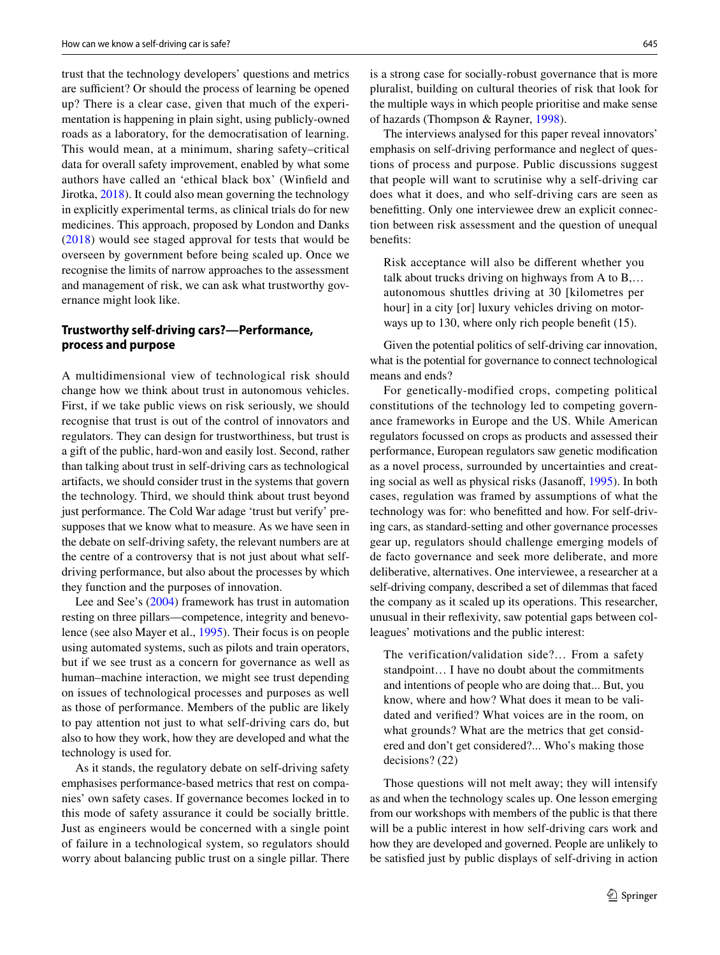trust that the technology developers' questions and metrics are sufficient? Or should the process of learning be opened up? There is a clear case, given that much of the experimentation is happening in plain sight, using publicly-owned roads as a laboratory, for the democratisation of learning. This would mean, at a minimum, sharing safety–critical data for overall safety improvement, enabled by what some authors have called an 'ethical black box' (Winfeld and Jirotka, [2018](#page-12-18)). It could also mean governing the technology in explicitly experimental terms, as clinical trials do for new medicines. This approach, proposed by London and Danks ([2018](#page-11-23)) would see staged approval for tests that would be overseen by government before being scaled up. Once we recognise the limits of narrow approaches to the assessment and management of risk, we can ask what trustworthy governance might look like.

# **Trustworthy self‑driving cars?—Performance, process and purpose**

A multidimensional view of technological risk should change how we think about trust in autonomous vehicles. First, if we take public views on risk seriously, we should recognise that trust is out of the control of innovators and regulators. They can design for trustworthiness, but trust is a gift of the public, hard-won and easily lost. Second, rather than talking about trust in self-driving cars as technological artifacts, we should consider trust in the systems that govern the technology. Third, we should think about trust beyond just performance. The Cold War adage 'trust but verify' presupposes that we know what to measure. As we have seen in the debate on self-driving safety, the relevant numbers are at the centre of a controversy that is not just about what selfdriving performance, but also about the processes by which they function and the purposes of innovation.

Lee and See's [\(2004](#page-11-24)) framework has trust in automation resting on three pillars—competence, integrity and benevolence (see also Mayer et al., [1995](#page-11-25)). Their focus is on people using automated systems, such as pilots and train operators, but if we see trust as a concern for governance as well as human–machine interaction, we might see trust depending on issues of technological processes and purposes as well as those of performance. Members of the public are likely to pay attention not just to what self-driving cars do, but also to how they work, how they are developed and what the technology is used for.

As it stands, the regulatory debate on self-driving safety emphasises performance-based metrics that rest on companies' own safety cases. If governance becomes locked in to this mode of safety assurance it could be socially brittle. Just as engineers would be concerned with a single point of failure in a technological system, so regulators should worry about balancing public trust on a single pillar. There is a strong case for socially-robust governance that is more pluralist, building on cultural theories of risk that look for the multiple ways in which people prioritise and make sense of hazards (Thompson & Rayner, [1998](#page-12-19)).

The interviews analysed for this paper reveal innovators' emphasis on self-driving performance and neglect of questions of process and purpose. Public discussions suggest that people will want to scrutinise why a self-driving car does what it does, and who self-driving cars are seen as beneftting. Only one interviewee drew an explicit connection between risk assessment and the question of unequal benefts:

Risk acceptance will also be diferent whether you talk about trucks driving on highways from A to B,… autonomous shuttles driving at 30 [kilometres per hour] in a city [or] luxury vehicles driving on motorways up to 130, where only rich people beneft (15).

Given the potential politics of self-driving car innovation, what is the potential for governance to connect technological means and ends?

For genetically-modified crops, competing political constitutions of the technology led to competing governance frameworks in Europe and the US. While American regulators focussed on crops as products and assessed their performance, European regulators saw genetic modifcation as a novel process, surrounded by uncertainties and creat-ing social as well as physical risks (Jasanoff, [1995](#page-11-26)). In both cases, regulation was framed by assumptions of what the technology was for: who beneftted and how. For self-driving cars, as standard-setting and other governance processes gear up, regulators should challenge emerging models of de facto governance and seek more deliberate, and more deliberative, alternatives. One interviewee, a researcher at a self-driving company, described a set of dilemmas that faced the company as it scaled up its operations. This researcher, unusual in their refexivity, saw potential gaps between colleagues' motivations and the public interest:

The verification/validation side?… From a safety standpoint… I have no doubt about the commitments and intentions of people who are doing that... But, you know, where and how? What does it mean to be validated and verifed? What voices are in the room, on what grounds? What are the metrics that get considered and don't get considered?... Who's making those decisions? (22)

Those questions will not melt away; they will intensify as and when the technology scales up. One lesson emerging from our workshops with members of the public is that there will be a public interest in how self-driving cars work and how they are developed and governed. People are unlikely to be satisfed just by public displays of self-driving in action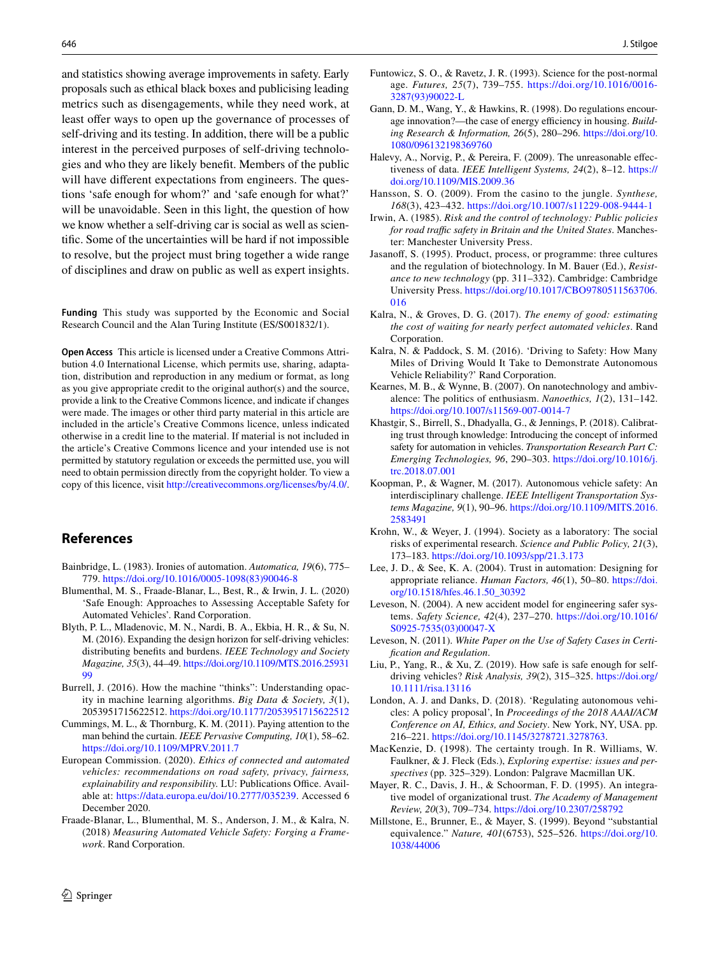and statistics showing average improvements in safety. Early proposals such as ethical black boxes and publicising leading metrics such as disengagements, while they need work, at least offer ways to open up the governance of processes of self-driving and its testing. In addition, there will be a public interest in the perceived purposes of self-driving technologies and who they are likely beneft. Members of the public will have different expectations from engineers. The questions 'safe enough for whom?' and 'safe enough for what?' will be unavoidable. Seen in this light, the question of how we know whether a self-driving car is social as well as scientifc. Some of the uncertainties will be hard if not impossible to resolve, but the project must bring together a wide range of disciplines and draw on public as well as expert insights.

**Funding** This study was supported by the Economic and Social Research Council and the Alan Turing Institute (ES/S001832/1).

**Open Access** This article is licensed under a Creative Commons Attribution 4.0 International License, which permits use, sharing, adaptation, distribution and reproduction in any medium or format, as long as you give appropriate credit to the original author(s) and the source, provide a link to the Creative Commons licence, and indicate if changes were made. The images or other third party material in this article are included in the article's Creative Commons licence, unless indicated otherwise in a credit line to the material. If material is not included in the article's Creative Commons licence and your intended use is not permitted by statutory regulation or exceeds the permitted use, you will need to obtain permission directly from the copyright holder. To view a copy of this licence, visit <http://creativecommons.org/licenses/by/4.0/>.

# **References**

- <span id="page-11-17"></span>Bainbridge, L. (1983). Ironies of automation. *Automatica, 19*(6), 775– 779. [https://doi.org/10.1016/0005-1098\(83\)90046-8](https://doi.org/10.1016/0005-1098(83)90046-8)
- <span id="page-11-13"></span>Blumenthal, M. S., Fraade-Blanar, L., Best, R., & Irwin, J. L. (2020) 'Safe Enough: Approaches to Assessing Acceptable Safety for Automated Vehicles'. Rand Corporation.
- <span id="page-11-20"></span>Blyth, P. L., Mladenovic, M. N., Nardi, B. A., Ekbia, H. R., & Su, N. M. (2016). Expanding the design horizon for self-driving vehicles: distributing benefts and burdens. *IEEE Technology and Society Magazine, 35*(3), 44–49. [https://doi.org/10.1109/MTS.2016.25931](https://doi.org/10.1109/MTS.2016.2593199) [99](https://doi.org/10.1109/MTS.2016.2593199)
- <span id="page-11-16"></span>Burrell, J. (2016). How the machine "thinks": Understanding opacity in machine learning algorithms. *Big Data & Society, 3*(1), 2053951715622512.<https://doi.org/10.1177/2053951715622512>
- <span id="page-11-18"></span>Cummings, M. L., & Thornburg, K. M. (2011). Paying attention to the man behind the curtain. *IEEE Pervasive Computing, 10*(1), 58–62. <https://doi.org/10.1109/MPRV.2011.7>
- <span id="page-11-1"></span>European Commission. (2020). *Ethics of connected and automated vehicles: recommendations on road safety, privacy, fairness, explainability and responsibility.* LU: Publications Office. Available at: <https://data.europa.eu/doi/10.2777/035239>. Accessed 6 December 2020.
- <span id="page-11-12"></span>Fraade-Blanar, L., Blumenthal, M. S., Anderson, J. M., & Kalra, N. (2018) *Measuring Automated Vehicle Safety: Forging a Framework*. Rand Corporation.
- <span id="page-11-3"></span>Funtowicz, S. O., & Ravetz, J. R. (1993). Science for the post-normal age. *Futures, 25*(7), 739–755. [https://doi.org/10.1016/0016-](https://doi.org/10.1016/0016-3287(93)90022-L) [3287\(93\)90022-L](https://doi.org/10.1016/0016-3287(93)90022-L)
- <span id="page-11-9"></span>Gann, D. M., Wang, Y., & Hawkins, R. (1998). Do regulations encourage innovation?--- the case of energy efficiency in housing. Build*ing Research & Information, 26*(5), 280–296. [https://doi.org/10.](https://doi.org/10.1080/096132198369760) [1080/096132198369760](https://doi.org/10.1080/096132198369760)
- <span id="page-11-15"></span>Halevy, A., Norvig, P., & Pereira, F. (2009). The unreasonable efectiveness of data. *IEEE Intelligent Systems, 24*(2), 8–12. [https://](https://doi.org/10.1109/MIS.2009.36) [doi.org/10.1109/MIS.2009.36](https://doi.org/10.1109/MIS.2009.36)
- <span id="page-11-4"></span>Hansson, S. O. (2009). From the casino to the jungle. *Synthese, 168*(3), 423–432. <https://doi.org/10.1007/s11229-008-9444-1>
- <span id="page-11-6"></span>Irwin, A. (1985). *Risk and the control of technology: Public policies*  for road traffic safety in Britain and the United States. Manchester: Manchester University Press.
- <span id="page-11-26"></span>Jasanof, S. (1995). Product, process, or programme: three cultures and the regulation of biotechnology. In M. Bauer (Ed.), *Resistance to new technology* (pp. 311–332). Cambridge: Cambridge University Press. [https://doi.org/10.1017/CBO9780511563706.](https://doi.org/10.1017/CBO9780511563706.016) [016](https://doi.org/10.1017/CBO9780511563706.016)
- <span id="page-11-11"></span>Kalra, N., & Groves, D. G. (2017). *The enemy of good: estimating the cost of waiting for nearly perfect automated vehicles*. Rand Corporation.
- <span id="page-11-10"></span>Kalra, N. & Paddock, S. M. (2016). 'Driving to Safety: How Many Miles of Driving Would It Take to Demonstrate Autonomous Vehicle Reliability?' Rand Corporation.
- <span id="page-11-22"></span>Kearnes, M. B., & Wynne, B. (2007). On nanotechnology and ambivalence: The politics of enthusiasm. *Nanoethics, 1*(2), 131–142. <https://doi.org/10.1007/s11569-007-0014-7>
- <span id="page-11-19"></span>Khastgir, S., Birrell, S., Dhadyalla, G., & Jennings, P. (2018). Calibrating trust through knowledge: Introducing the concept of informed safety for automation in vehicles. *Transportation Research Part C: Emerging Technologies, 96*, 290–303. [https://doi.org/10.1016/j.](https://doi.org/10.1016/j.trc.2018.07.001) [trc.2018.07.001](https://doi.org/10.1016/j.trc.2018.07.001)
- <span id="page-11-0"></span>Koopman, P., & Wagner, M. (2017). Autonomous vehicle safety: An interdisciplinary challenge. *IEEE Intelligent Transportation Systems Magazine, 9*(1), 90–96. [https://doi.org/10.1109/MITS.2016.](https://doi.org/10.1109/MITS.2016.2583491) [2583491](https://doi.org/10.1109/MITS.2016.2583491)
- <span id="page-11-5"></span>Krohn, W., & Weyer, J. (1994). Society as a laboratory: The social risks of experimental research. *Science and Public Policy, 21*(3), 173–183.<https://doi.org/10.1093/spp/21.3.173>
- <span id="page-11-24"></span>Lee, J. D., & See, K. A. (2004). Trust in automation: Designing for appropriate reliance. *Human Factors, 46*(1), 50–80. [https://doi.](https://doi.org/10.1518/hfes.46.1.50_30392) [org/10.1518/hfes.46.1.50\\_30392](https://doi.org/10.1518/hfes.46.1.50_30392)
- <span id="page-11-8"></span>Leveson, N. (2004). A new accident model for engineering safer systems. *Safety Science, 42*(4), 237–270. [https://doi.org/10.1016/](https://doi.org/10.1016/S0925-7535(03)00047-X) [S0925-7535\(03\)00047-X](https://doi.org/10.1016/S0925-7535(03)00047-X)
- <span id="page-11-21"></span>Leveson, N. (2011). *White Paper on the Use of Safety Cases in Certifcation and Regulation*.
- <span id="page-11-14"></span>Liu, P., Yang, R., & Xu, Z. (2019). How safe is safe enough for selfdriving vehicles? *Risk Analysis, 39*(2), 315–325. [https://doi.org/](https://doi.org/10.1111/risa.13116) [10.1111/risa.13116](https://doi.org/10.1111/risa.13116)
- <span id="page-11-23"></span>London, A. J. and Danks, D. (2018). 'Regulating autonomous vehicles: A policy proposal', In *Proceedings of the 2018 AAAI/ACM Conference on AI, Ethics, and Society*. New York, NY, USA. pp. 216–221. [https://doi.org/10.1145/3278721.3278763.](https://doi.org/10.1145/3278721.3278763)
- <span id="page-11-2"></span>MacKenzie, D. (1998). The certainty trough. In R. Williams, W. Faulkner, & J. Fleck (Eds.), *Exploring expertise: issues and perspectives* (pp. 325–329). London: Palgrave Macmillan UK.
- <span id="page-11-25"></span>Mayer, R. C., Davis, J. H., & Schoorman, F. D. (1995). An integrative model of organizational trust. *The Academy of Management Review, 20*(3), 709–734. <https://doi.org/10.2307/258792>
- <span id="page-11-7"></span>Millstone, E., Brunner, E., & Mayer, S. (1999). Beyond "substantial equivalence." *Nature, 401*(6753), 525–526. [https://doi.org/10.](https://doi.org/10.1038/44006) [1038/44006](https://doi.org/10.1038/44006)